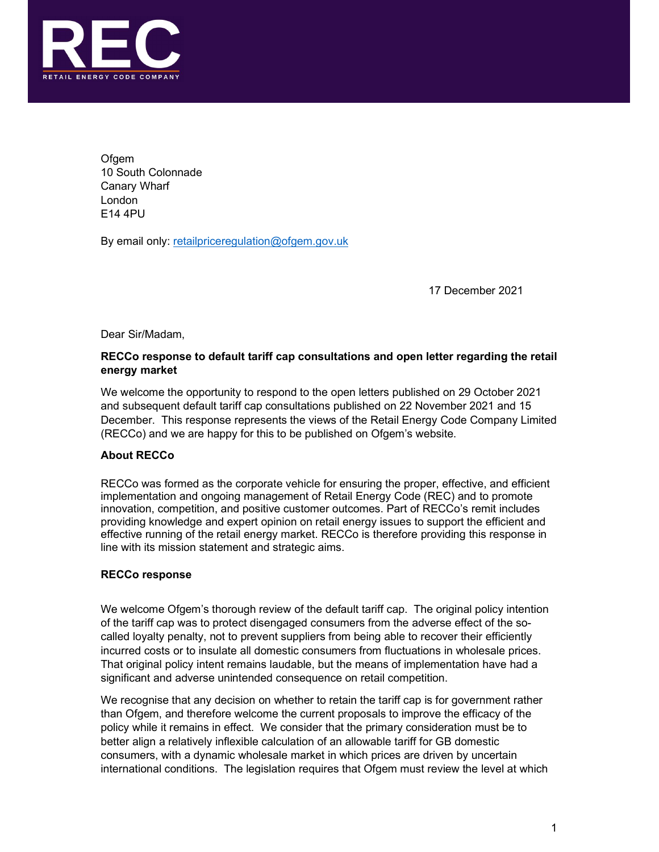

**Ofgem** 10 South Colonnade Canary Wharf London E14 4PU

By email only: retailpriceregulation@ofgem.gov.uk

17 December 2021

Dear Sir/Madam,

# RECCo response to default tariff cap consultations and open letter regarding the retail energy market

We welcome the opportunity to respond to the open letters published on 29 October 2021 and subsequent default tariff cap consultations published on 22 November 2021 and 15 December. This response represents the views of the Retail Energy Code Company Limited (RECCo) and we are happy for this to be published on Ofgem's website.

# About RECCo

RECCo was formed as the corporate vehicle for ensuring the proper, effective, and efficient implementation and ongoing management of Retail Energy Code (REC) and to promote innovation, competition, and positive customer outcomes. Part of RECCo's remit includes providing knowledge and expert opinion on retail energy issues to support the efficient and effective running of the retail energy market. RECCo is therefore providing this response in line with its mission statement and strategic aims.

# RECCo response

We welcome Ofgem's thorough review of the default tariff cap. The original policy intention of the tariff cap was to protect disengaged consumers from the adverse effect of the socalled loyalty penalty, not to prevent suppliers from being able to recover their efficiently incurred costs or to insulate all domestic consumers from fluctuations in wholesale prices. That original policy intent remains laudable, but the means of implementation have had a significant and adverse unintended consequence on retail competition.

We recognise that any decision on whether to retain the tariff cap is for government rather than Ofgem, and therefore welcome the current proposals to improve the efficacy of the policy while it remains in effect. We consider that the primary consideration must be to better align a relatively inflexible calculation of an allowable tariff for GB domestic consumers, with a dynamic wholesale market in which prices are driven by uncertain international conditions. The legislation requires that Ofgem must review the level at which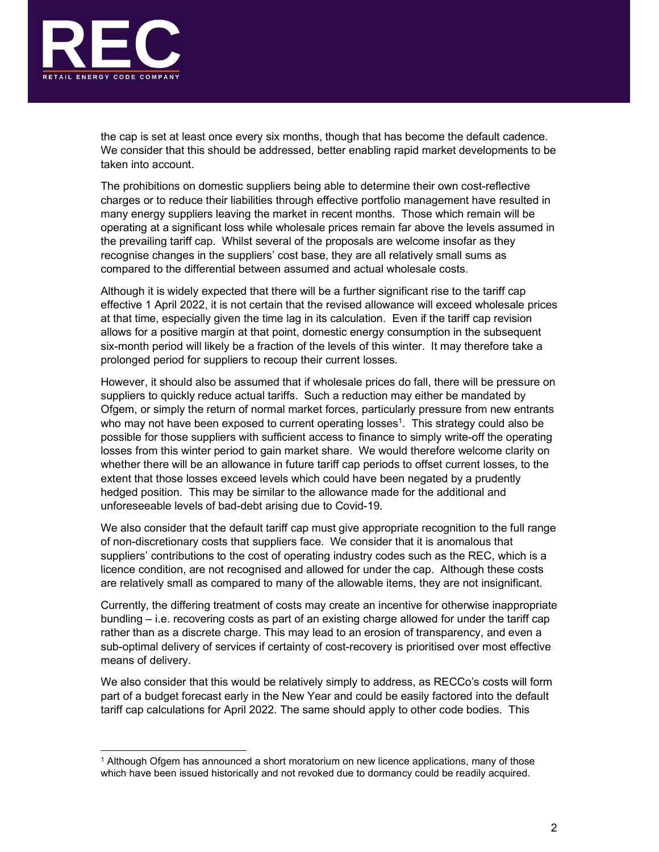

the cap is set at least once every six months, though that has become the default cadence. We consider that this should be addressed, better enabling rapid market developments to be taken into account.

The prohibitions on domestic suppliers being able to determine their own cost-reflective charges or to reduce their liabilities through effective portfolio management have resulted in many energy suppliers leaving the market in recent months. Those which remain will be operating at a significant loss while wholesale prices remain far above the levels assumed in the prevailing tariff cap. Whilst several of the proposals are welcome insofar as they recognise changes in the suppliers' cost base, they are all relatively small sums as compared to the differential between assumed and actual wholesale costs.

Although it is widely expected that there will be a further significant rise to the tariff cap effective 1 April 2022, it is not certain that the revised allowance will exceed wholesale prices at that time, especially given the time lag in its calculation. Even if the tariff cap revision allows for a positive margin at that point, domestic energy consumption in the subsequent six-month period will likely be a fraction of the levels of this winter. It may therefore take a prolonged period for suppliers to recoup their current losses.

However, it should also be assumed that if wholesale prices do fall, there will be pressure on suppliers to quickly reduce actual tariffs. Such a reduction may either be mandated by Ofgem, or simply the return of normal market forces, particularly pressure from new entrants who may not have been exposed to current operating losses<sup>1</sup>. This strategy could also be possible for those suppliers with sufficient access to finance to simply write-off the operating losses from this winter period to gain market share. We would therefore welcome clarity on whether there will be an allowance in future tariff cap periods to offset current losses, to the extent that those losses exceed levels which could have been negated by a prudently hedged position. This may be similar to the allowance made for the additional and unforeseeable levels of bad-debt arising due to Covid-19.

We also consider that the default tariff cap must give appropriate recognition to the full range of non-discretionary costs that suppliers face. We consider that it is anomalous that suppliers' contributions to the cost of operating industry codes such as the REC, which is a licence condition, are not recognised and allowed for under the cap. Although these costs are relatively small as compared to many of the allowable items, they are not insignificant.

Currently, the differing treatment of costs may create an incentive for otherwise inappropriate bundling – i.e. recovering costs as part of an existing charge allowed for under the tariff cap rather than as a discrete charge. This may lead to an erosion of transparency, and even a sub-optimal delivery of services if certainty of cost-recovery is prioritised over most effective means of delivery.

We also consider that this would be relatively simply to address, as RECCo's costs will form part of a budget forecast early in the New Year and could be easily factored into the default tariff cap calculations for April 2022. The same should apply to other code bodies. This 1

<sup>&</sup>lt;sup>1</sup> Although Ofgem has announced a short moratorium on new licence applications, many of those which have been issued historically and not revoked due to dormancy could be readily acquired.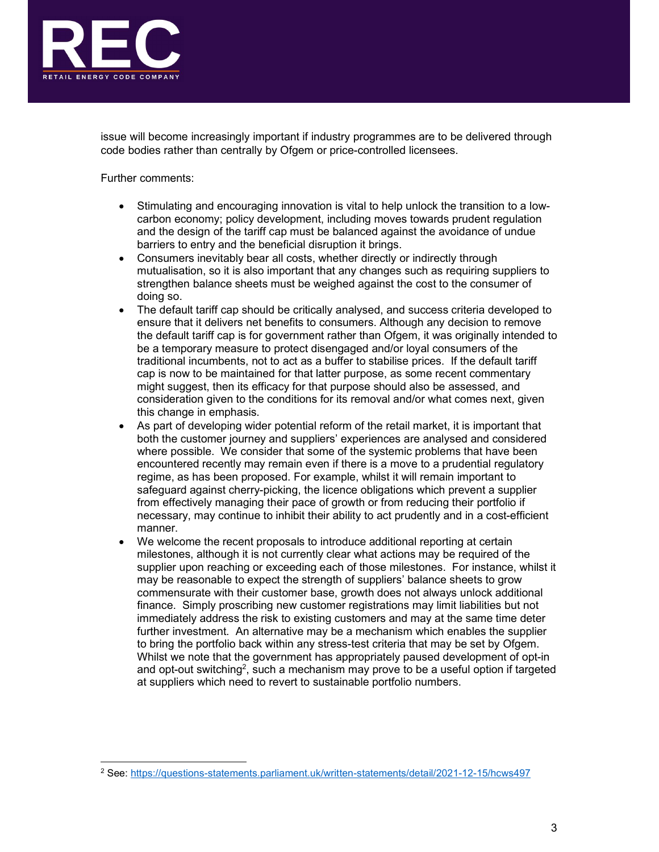

issue will become increasingly important if industry programmes are to be delivered through code bodies rather than centrally by Ofgem or price-controlled licensees.

Further comments:

- Stimulating and encouraging innovation is vital to help unlock the transition to a lowcarbon economy; policy development, including moves towards prudent regulation and the design of the tariff cap must be balanced against the avoidance of undue barriers to entry and the beneficial disruption it brings.
- Consumers inevitably bear all costs, whether directly or indirectly through mutualisation, so it is also important that any changes such as requiring suppliers to strengthen balance sheets must be weighed against the cost to the consumer of doing so.
- The default tariff cap should be critically analysed, and success criteria developed to ensure that it delivers net benefits to consumers. Although any decision to remove the default tariff cap is for government rather than Ofgem, it was originally intended to be a temporary measure to protect disengaged and/or loyal consumers of the traditional incumbents, not to act as a buffer to stabilise prices. If the default tariff cap is now to be maintained for that latter purpose, as some recent commentary might suggest, then its efficacy for that purpose should also be assessed, and consideration given to the conditions for its removal and/or what comes next, given this change in emphasis.
- As part of developing wider potential reform of the retail market, it is important that both the customer journey and suppliers' experiences are analysed and considered where possible. We consider that some of the systemic problems that have been encountered recently may remain even if there is a move to a prudential regulatory regime, as has been proposed. For example, whilst it will remain important to safeguard against cherry-picking, the licence obligations which prevent a supplier from effectively managing their pace of growth or from reducing their portfolio if necessary, may continue to inhibit their ability to act prudently and in a cost-efficient manner.
- We welcome the recent proposals to introduce additional reporting at certain milestones, although it is not currently clear what actions may be required of the supplier upon reaching or exceeding each of those milestones. For instance, whilst it may be reasonable to expect the strength of suppliers' balance sheets to grow commensurate with their customer base, growth does not always unlock additional finance. Simply proscribing new customer registrations may limit liabilities but not immediately address the risk to existing customers and may at the same time deter further investment. An alternative may be a mechanism which enables the supplier to bring the portfolio back within any stress-test criteria that may be set by Ofgem. Whilst we note that the government has appropriately paused development of opt-in and opt-out switching<sup>2</sup>, such a mechanism may prove to be a useful option if targeted at suppliers which need to revert to sustainable portfolio numbers.<br><br>2 See: https://guestions-statements.parliament.uk/written-statements/detail/2021-

See: https://questions-statements.parliament.uk/written-statements/detail/2021-12-15/hcws497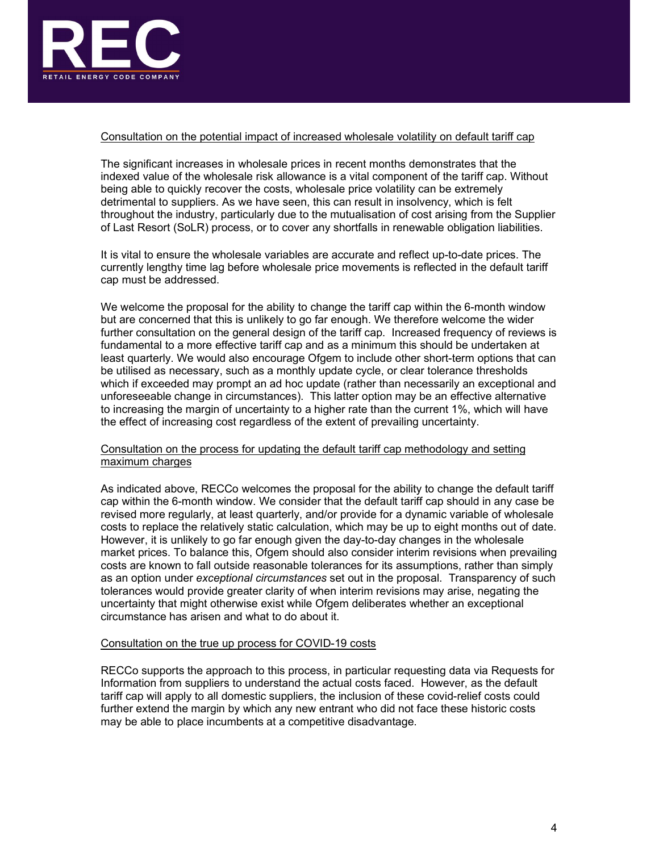

## Consultation on the potential impact of increased wholesale volatility on default tariff cap

The significant increases in wholesale prices in recent months demonstrates that the indexed value of the wholesale risk allowance is a vital component of the tariff cap. Without being able to quickly recover the costs, wholesale price volatility can be extremely detrimental to suppliers. As we have seen, this can result in insolvency, which is felt throughout the industry, particularly due to the mutualisation of cost arising from the Supplier of Last Resort (SoLR) process, or to cover any shortfalls in renewable obligation liabilities.

It is vital to ensure the wholesale variables are accurate and reflect up-to-date prices. The currently lengthy time lag before wholesale price movements is reflected in the default tariff cap must be addressed.

We welcome the proposal for the ability to change the tariff cap within the 6-month window but are concerned that this is unlikely to go far enough. We therefore welcome the wider further consultation on the general design of the tariff cap. Increased frequency of reviews is fundamental to a more effective tariff cap and as a minimum this should be undertaken at least quarterly. We would also encourage Ofgem to include other short-term options that can be utilised as necessary, such as a monthly update cycle, or clear tolerance thresholds which if exceeded may prompt an ad hoc update (rather than necessarily an exceptional and unforeseeable change in circumstances). This latter option may be an effective alternative to increasing the margin of uncertainty to a higher rate than the current 1%, which will have the effect of increasing cost regardless of the extent of prevailing uncertainty.

### Consultation on the process for updating the default tariff cap methodology and setting maximum charges

As indicated above, RECCo welcomes the proposal for the ability to change the default tariff cap within the 6-month window. We consider that the default tariff cap should in any case be revised more regularly, at least quarterly, and/or provide for a dynamic variable of wholesale costs to replace the relatively static calculation, which may be up to eight months out of date. However, it is unlikely to go far enough given the day-to-day changes in the wholesale market prices. To balance this, Ofgem should also consider interim revisions when prevailing costs are known to fall outside reasonable tolerances for its assumptions, rather than simply as an option under exceptional circumstances set out in the proposal. Transparency of such tolerances would provide greater clarity of when interim revisions may arise, negating the uncertainty that might otherwise exist while Ofgem deliberates whether an exceptional circumstance has arisen and what to do about it.

### Consultation on the true up process for COVID-19 costs

RECCo supports the approach to this process, in particular requesting data via Requests for Information from suppliers to understand the actual costs faced. However, as the default tariff cap will apply to all domestic suppliers, the inclusion of these covid-relief costs could further extend the margin by which any new entrant who did not face these historic costs may be able to place incumbents at a competitive disadvantage.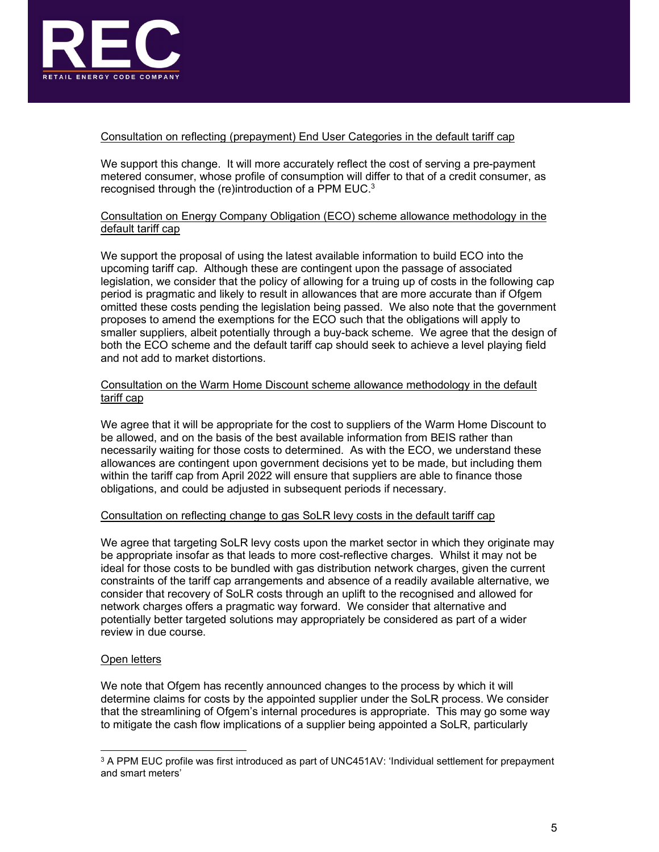

# Consultation on reflecting (prepayment) End User Categories in the default tariff cap

We support this change. It will more accurately reflect the cost of serving a pre-payment metered consumer, whose profile of consumption will differ to that of a credit consumer, as recognised through the (re)introduction of a PPM EUC.3

## Consultation on Energy Company Obligation (ECO) scheme allowance methodology in the default tariff cap

We support the proposal of using the latest available information to build ECO into the upcoming tariff cap. Although these are contingent upon the passage of associated legislation, we consider that the policy of allowing for a truing up of costs in the following cap period is pragmatic and likely to result in allowances that are more accurate than if Ofgem omitted these costs pending the legislation being passed. We also note that the government proposes to amend the exemptions for the ECO such that the obligations will apply to smaller suppliers, albeit potentially through a buy-back scheme. We agree that the design of both the ECO scheme and the default tariff cap should seek to achieve a level playing field and not add to market distortions.

# Consultation on the Warm Home Discount scheme allowance methodology in the default tariff cap

We agree that it will be appropriate for the cost to suppliers of the Warm Home Discount to be allowed, and on the basis of the best available information from BEIS rather than necessarily waiting for those costs to determined. As with the ECO, we understand these allowances are contingent upon government decisions yet to be made, but including them within the tariff cap from April 2022 will ensure that suppliers are able to finance those obligations, and could be adjusted in subsequent periods if necessary.

### Consultation on reflecting change to gas SoLR levy costs in the default tariff cap

We agree that targeting SoLR levy costs upon the market sector in which they originate may be appropriate insofar as that leads to more cost-reflective charges. Whilst it may not be ideal for those costs to be bundled with gas distribution network charges, given the current constraints of the tariff cap arrangements and absence of a readily available alternative, we consider that recovery of SoLR costs through an uplift to the recognised and allowed for network charges offers a pragmatic way forward. We consider that alternative and potentially better targeted solutions may appropriately be considered as part of a wider review in due course.

# Open letters

We note that Ofgem has recently announced changes to the process by which it will determine claims for costs by the appointed supplier under the SoLR process. We consider that the streamlining of Ofgem's internal procedures is appropriate. This may go some way to mitigate the cash flow implications of a supplier being appointed a SoLR, particularly

 $^3$  A PPM EUC profile was first introduced as part of UNC451AV: 'Individual settlement for prepayment and smart meters'